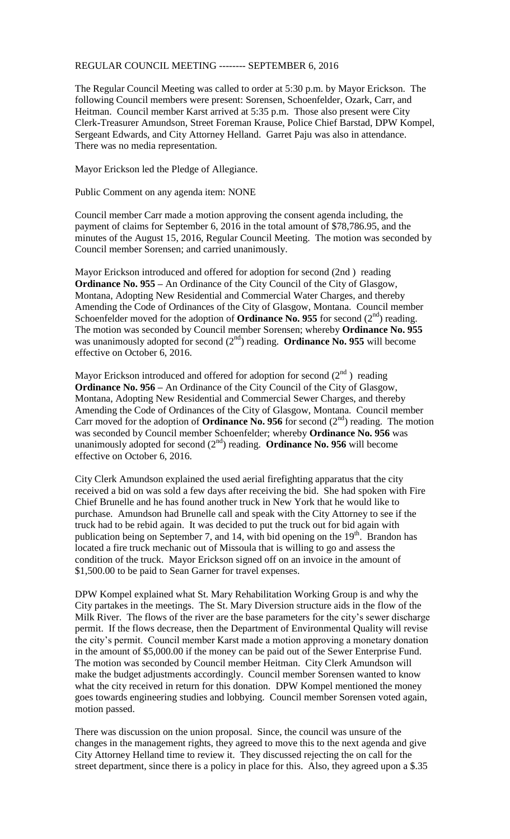## REGULAR COUNCIL MEETING -------- SEPTEMBER 6, 2016

The Regular Council Meeting was called to order at 5:30 p.m. by Mayor Erickson. The following Council members were present: Sorensen, Schoenfelder, Ozark, Carr, and Heitman. Council member Karst arrived at 5:35 p.m. Those also present were City Clerk-Treasurer Amundson, Street Foreman Krause, Police Chief Barstad, DPW Kompel, Sergeant Edwards, and City Attorney Helland. Garret Paju was also in attendance. There was no media representation.

Mayor Erickson led the Pledge of Allegiance.

Public Comment on any agenda item: NONE

Council member Carr made a motion approving the consent agenda including, the payment of claims for September 6, 2016 in the total amount of \$78,786.95, and the minutes of the August 15, 2016, Regular Council Meeting. The motion was seconded by Council member Sorensen; and carried unanimously.

Mayor Erickson introduced and offered for adoption for second (2nd ) reading **Ordinance No. 955 –** An Ordinance of the City Council of the City of Glasgow, Montana, Adopting New Residential and Commercial Water Charges, and thereby Amending the Code of Ordinances of the City of Glasgow, Montana. Council member Schoenfelder moved for the adoption of **Ordinance No. 955** for second  $(2^{nd})$  reading. The motion was seconded by Council member Sorensen; whereby **Ordinance No. 955** was unanimously adopted for second  $(2<sup>nd</sup>)$  reading. **Ordinance No. 955** will become effective on October 6, 2016.

Mayor Erickson introduced and offered for adoption for second  $(2^{nd})$  reading **Ordinance No. 956 –** An Ordinance of the City Council of the City of Glasgow, Montana, Adopting New Residential and Commercial Sewer Charges, and thereby Amending the Code of Ordinances of the City of Glasgow, Montana. Council member Carr moved for the adoption of **Ordinance No. 956** for second  $(2<sup>nd</sup>)$  reading. The motion was seconded by Council member Schoenfelder; whereby **Ordinance No. 956** was unanimously adopted for second  $(2<sup>nd</sup>)$  reading. **Ordinance No. 956** will become effective on October 6, 2016.

City Clerk Amundson explained the used aerial firefighting apparatus that the city received a bid on was sold a few days after receiving the bid. She had spoken with Fire Chief Brunelle and he has found another truck in New York that he would like to purchase. Amundson had Brunelle call and speak with the City Attorney to see if the truck had to be rebid again. It was decided to put the truck out for bid again with publication being on September 7, and 14, with bid opening on the  $19<sup>th</sup>$ . Brandon has located a fire truck mechanic out of Missoula that is willing to go and assess the condition of the truck. Mayor Erickson signed off on an invoice in the amount of \$1,500.00 to be paid to Sean Garner for travel expenses.

DPW Kompel explained what St. Mary Rehabilitation Working Group is and why the City partakes in the meetings. The St. Mary Diversion structure aids in the flow of the Milk River. The flows of the river are the base parameters for the city's sewer discharge permit. If the flows decrease, then the Department of Environmental Quality will revise the city's permit. Council member Karst made a motion approving a monetary donation in the amount of \$5,000.00 if the money can be paid out of the Sewer Enterprise Fund. The motion was seconded by Council member Heitman. City Clerk Amundson will make the budget adjustments accordingly. Council member Sorensen wanted to know what the city received in return for this donation. DPW Kompel mentioned the money goes towards engineering studies and lobbying. Council member Sorensen voted again, motion passed.

There was discussion on the union proposal. Since, the council was unsure of the changes in the management rights, they agreed to move this to the next agenda and give City Attorney Helland time to review it. They discussed rejecting the on call for the street department, since there is a policy in place for this. Also, they agreed upon a \$.35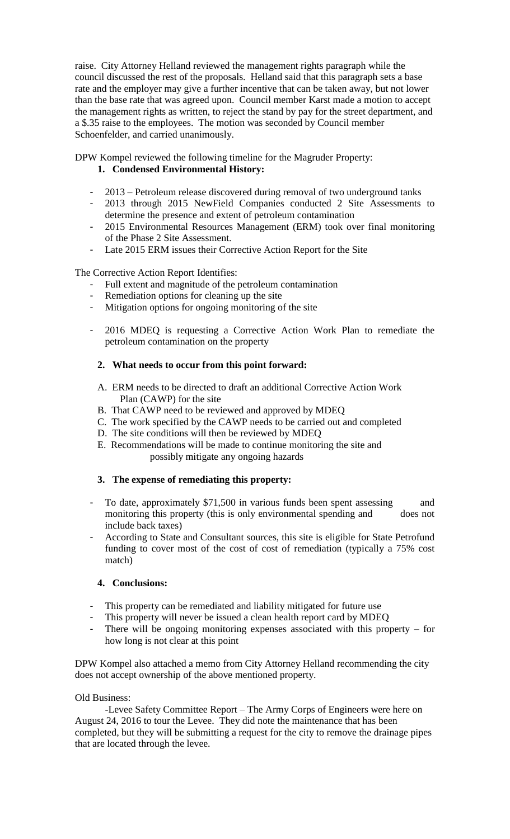raise. City Attorney Helland reviewed the management rights paragraph while the council discussed the rest of the proposals. Helland said that this paragraph sets a base rate and the employer may give a further incentive that can be taken away, but not lower than the base rate that was agreed upon. Council member Karst made a motion to accept the management rights as written, to reject the stand by pay for the street department, and a \$.35 raise to the employees. The motion was seconded by Council member Schoenfelder, and carried unanimously.

DPW Kompel reviewed the following timeline for the Magruder Property: **1. Condensed Environmental History:**

- 2013 Petroleum release discovered during removal of two underground tanks
- 2013 through 2015 NewField Companies conducted 2 Site Assessments to determine the presence and extent of petroleum contamination
- 2015 Environmental Resources Management (ERM) took over final monitoring of the Phase 2 Site Assessment.
- Late 2015 ERM issues their Corrective Action Report for the Site

The Corrective Action Report Identifies:

- Full extent and magnitude of the petroleum contamination
- Remediation options for cleaning up the site
- Mitigation options for ongoing monitoring of the site
- 2016 MDEQ is requesting a Corrective Action Work Plan to remediate the petroleum contamination on the property

# **2. What needs to occur from this point forward:**

- A. ERM needs to be directed to draft an additional Corrective Action Work Plan (CAWP) for the site
- B. That CAWP need to be reviewed and approved by MDEQ
- C. The work specified by the CAWP needs to be carried out and completed
- D. The site conditions will then be reviewed by MDEQ
- E. Recommendations will be made to continue monitoring the site and possibly mitigate any ongoing hazards

# **3. The expense of remediating this property:**

- To date, approximately \$71,500 in various funds been spent assessing and monitoring this property (this is only environmental spending and does not include back taxes)
- According to State and Consultant sources, this site is eligible for State Petrofund funding to cover most of the cost of cost of remediation (typically a 75% cost match)

# **4. Conclusions:**

- This property can be remediated and liability mitigated for future use
- This property will never be issued a clean health report card by MDEQ
- There will be ongoing monitoring expenses associated with this property for how long is not clear at this point

DPW Kompel also attached a memo from City Attorney Helland recommending the city does not accept ownership of the above mentioned property.

# Old Business:

-Levee Safety Committee Report – The Army Corps of Engineers were here on August 24, 2016 to tour the Levee. They did note the maintenance that has been completed, but they will be submitting a request for the city to remove the drainage pipes that are located through the levee.